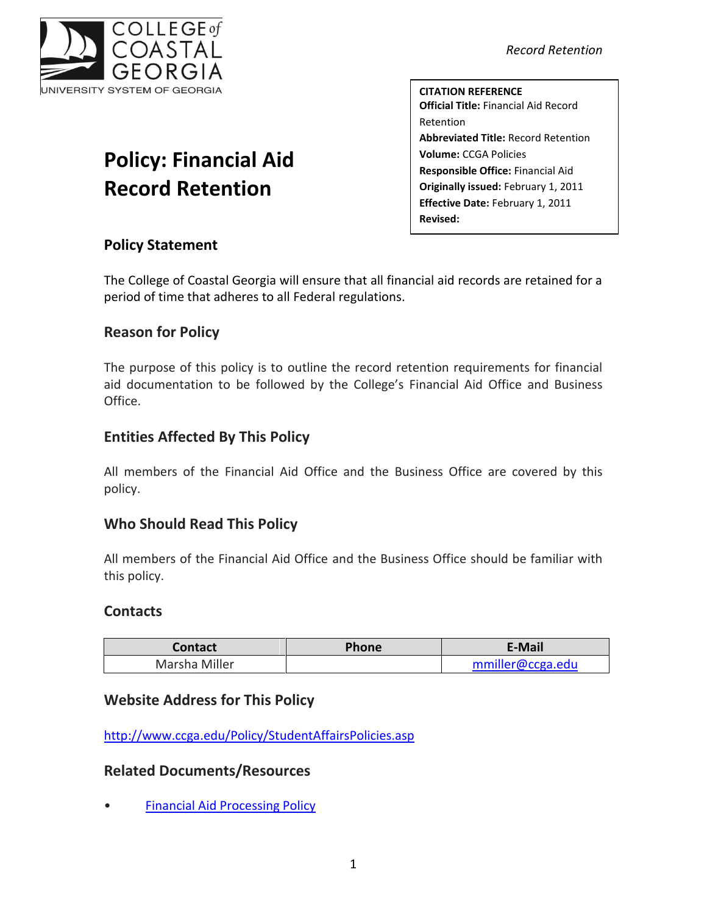

#### *Record Retention*

**CITATION REFERENCE Official Title:** Financial Aid Record Retention **Abbreviated Title:** Record Retention **Volume:** CCGA Policies **Responsible Office:** Financial Aid **Originally issued:** February 1, 2011 **Effective Date:** February 1, 2011 **Revised:**

# **Policy: Financial Aid Record Retention**

## **Policy Statement**

The College of Coastal Georgia will ensure that all financial aid records are retained for a period of time that adheres to all Federal regulations.

## **Reason for Policy**

The purpose of this policy is to outline the record retention requirements for financial aid documentation to be followed by the College's Financial Aid Office and Business Office.

# **Entities Affected By This Policy**

All members of the Financial Aid Office and the Business Office are covered by this policy.

## **Who Should Read This Policy**

All members of the Financial Aid Office and the Business Office should be familiar with this policy.

#### **Contacts**

| <b>Contact</b> | <b>Phone</b> | E-Mail           |
|----------------|--------------|------------------|
| Marsha Miller  |              | mmiller@ccga.edu |

## **Website Address for This Policy**

<http://www.ccga.edu/Policy/StudentAffairsPolicies.asp>

## **Related Documents/Resources**

• [Financial Aid Processing Policy](file:///C:/Users/blemons/Downloads/RPI/Financial%20Aid%20Policies/FinancialAidPolicy_Final020111.pdf)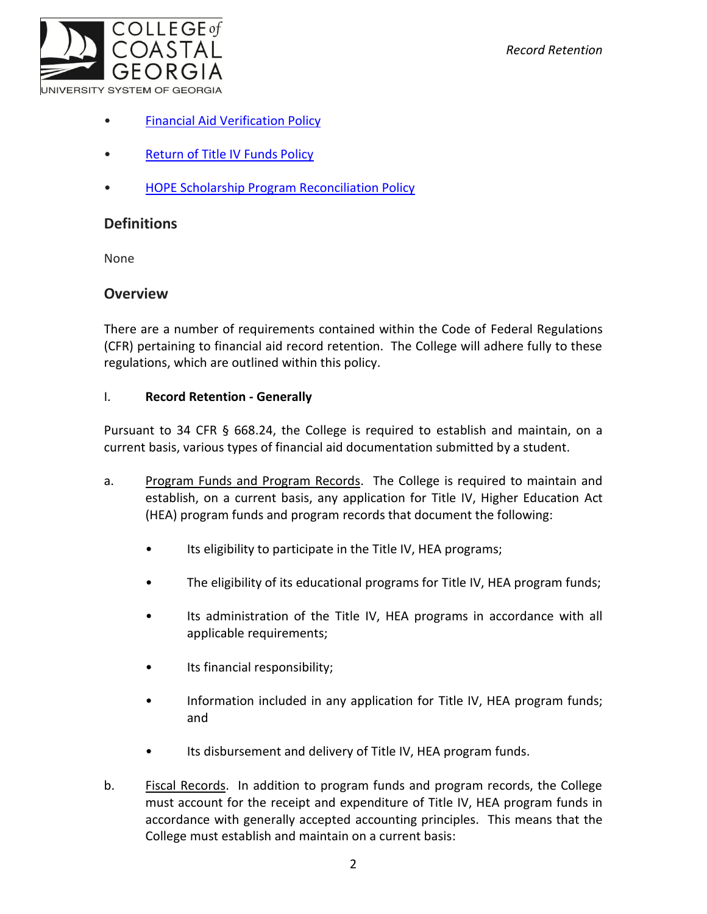- [Financial Aid Verification Policy](file:///C:/Users/blemons/Downloads/RPI/Financial%20Aid%20Policies/FinancialAidVerificationPolicy_Final020111.pdf)
- [Return of Title IV Funds Policy](file:///C:/Users/blemons/Downloads/RPI/Financial%20Aid%20Policies/ReturnofTitleIVFundsPolicy_Final020111.pdf)
- [HOPE Scholarship Program Reconciliation Policy](file:///C:/Users/blemons/Downloads/RPI/Financial%20Aid%20Policies/HOPEReconciliationPolicy_Final020111.pdf)

### **Definitions**

None

#### **Overview**

There are a number of requirements contained within the Code of Federal Regulations (CFR) pertaining to financial aid record retention. The College will adhere fully to these regulations, which are outlined within this policy.

#### I. **Record Retention - Generally**

Pursuant to 34 CFR § 668.24, the College is required to establish and maintain, on a current basis, various types of financial aid documentation submitted by a student.

- a. Program Funds and Program Records. The College is required to maintain and establish, on a current basis, any application for Title IV, Higher Education Act (HEA) program funds and program records that document the following:
	- Its eligibility to participate in the Title IV, HEA programs;
	- The eligibility of its educational programs for Title IV, HEA program funds;
	- Its administration of the Title IV, HEA programs in accordance with all applicable requirements;
	- Its financial responsibility;
	- Information included in any application for Title IV, HEA program funds; and
	- Its disbursement and delivery of Title IV, HEA program funds.
- b. Fiscal Records. In addition to program funds and program records, the College must account for the receipt and expenditure of Title IV, HEA program funds in accordance with generally accepted accounting principles. This means that the College must establish and maintain on a current basis: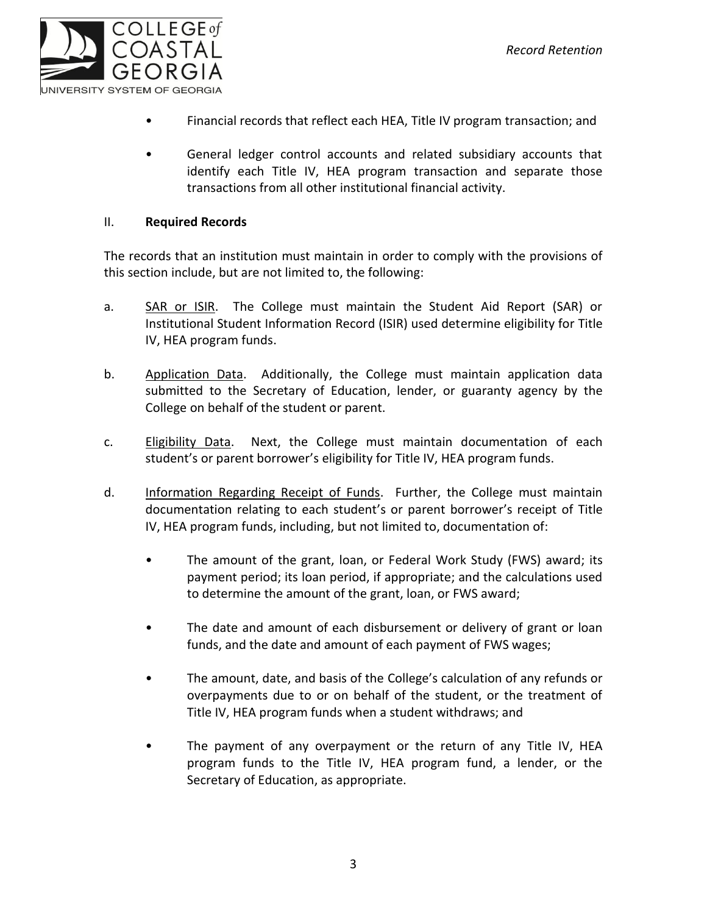

- Financial records that reflect each HEA, Title IV program transaction; and
- General ledger control accounts and related subsidiary accounts that identify each Title IV, HEA program transaction and separate those transactions from all other institutional financial activity.

#### II. **Required Records**

The records that an institution must maintain in order to comply with the provisions of this section include, but are not limited to, the following:

- a. SAR or ISIR. The College must maintain the Student Aid Report (SAR) or Institutional Student Information Record (ISIR) used determine eligibility for Title IV, HEA program funds.
- b. Application Data. Additionally, the College must maintain application data submitted to the Secretary of Education, lender, or guaranty agency by the College on behalf of the student or parent.
- c. Eligibility Data. Next, the College must maintain documentation of each student's or parent borrower's eligibility for Title IV, HEA program funds.
- d. Information Regarding Receipt of Funds. Further, the College must maintain documentation relating to each student's or parent borrower's receipt of Title IV, HEA program funds, including, but not limited to, documentation of:
	- The amount of the grant, loan, or Federal Work Study (FWS) award; its payment period; its loan period, if appropriate; and the calculations used to determine the amount of the grant, loan, or FWS award;
	- The date and amount of each disbursement or delivery of grant or loan funds, and the date and amount of each payment of FWS wages;
	- The amount, date, and basis of the College's calculation of any refunds or overpayments due to or on behalf of the student, or the treatment of Title IV, HEA program funds when a student withdraws; and
	- The payment of any overpayment or the return of any Title IV, HEA program funds to the Title IV, HEA program fund, a lender, or the Secretary of Education, as appropriate.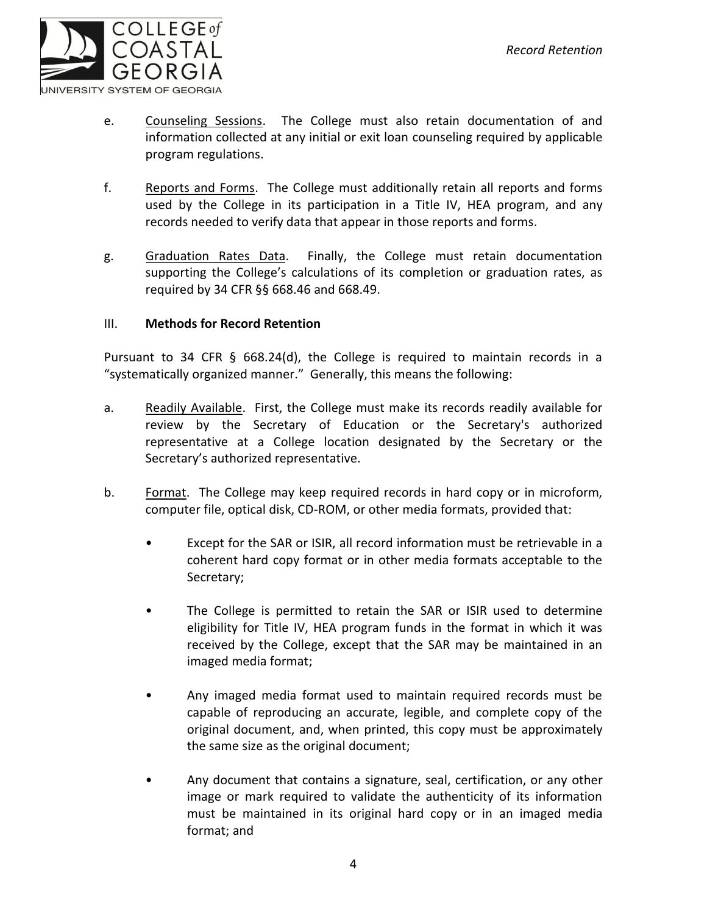

- e. Counseling Sessions. The College must also retain documentation of and information collected at any initial or exit loan counseling required by applicable program regulations.
- f. Reports and Forms. The College must additionally retain all reports and forms used by the College in its participation in a Title IV, HEA program, and any records needed to verify data that appear in those reports and forms.
- g. Graduation Rates Data. Finally, the College must retain documentation supporting the College's calculations of its completion or graduation rates, as required by 34 CFR §§ 668.46 and 668.49.

#### III. **Methods for Record Retention**

Pursuant to 34 CFR § 668.24(d), the College is required to maintain records in a "systematically organized manner." Generally, this means the following:

- a. Readily Available. First, the College must make its records readily available for review by the Secretary of Education or the Secretary's authorized representative at a College location designated by the Secretary or the Secretary's authorized representative.
- b. Format. The College may keep required records in hard copy or in microform, computer file, optical disk, CD-ROM, or other media formats, provided that:
	- Except for the SAR or ISIR, all record information must be retrievable in a coherent hard copy format or in other media formats acceptable to the Secretary;
	- The College is permitted to retain the SAR or ISIR used to determine eligibility for Title IV, HEA program funds in the format in which it was received by the College, except that the SAR may be maintained in an imaged media format;
	- Any imaged media format used to maintain required records must be capable of reproducing an accurate, legible, and complete copy of the original document, and, when printed, this copy must be approximately the same size as the original document;
	- Any document that contains a signature, seal, certification, or any other image or mark required to validate the authenticity of its information must be maintained in its original hard copy or in an imaged media format; and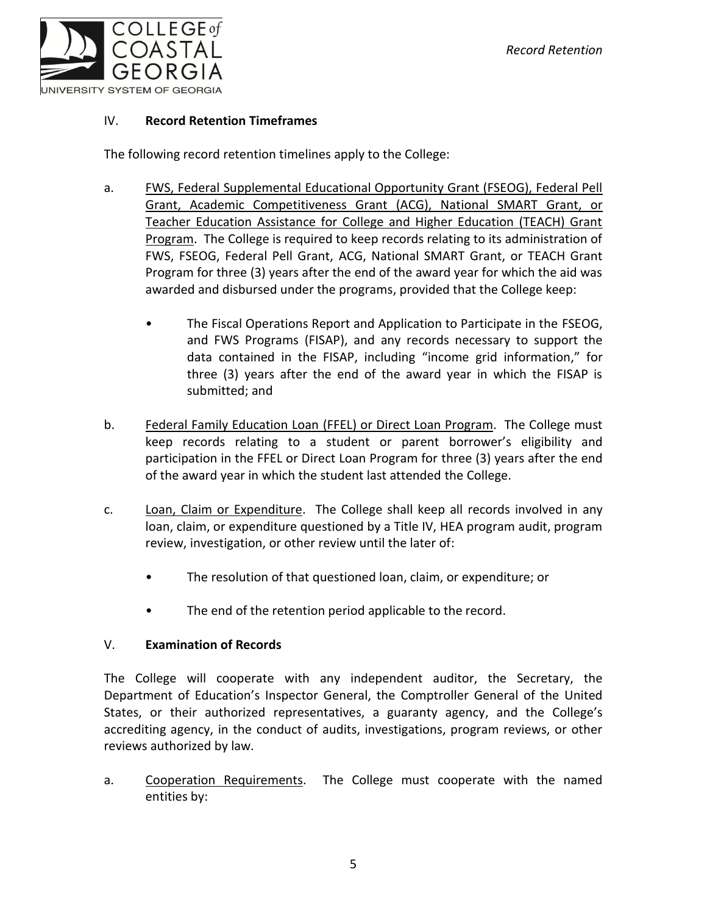

#### IV. **Record Retention Timeframes**

The following record retention timelines apply to the College:

- a. FWS, Federal Supplemental Educational Opportunity Grant (FSEOG), Federal Pell Grant, Academic Competitiveness Grant (ACG), National SMART Grant, or Teacher Education Assistance for College and Higher Education (TEACH) Grant Program. The College is required to keep records relating to its administration of FWS, FSEOG, Federal Pell Grant, ACG, National SMART Grant, or TEACH Grant Program for three (3) years after the end of the award year for which the aid was awarded and disbursed under the programs, provided that the College keep:
	- The Fiscal Operations Report and Application to Participate in the FSEOG, and FWS Programs (FISAP), and any records necessary to support the data contained in the FISAP, including "income grid information," for three (3) years after the end of the award year in which the FISAP is submitted; and
- b. Federal Family Education Loan (FFEL) or Direct Loan Program. The College must keep records relating to a student or parent borrower's eligibility and participation in the FFEL or Direct Loan Program for three (3) years after the end of the award year in which the student last attended the College.
- c. Loan, Claim or Expenditure. The College shall keep all records involved in any loan, claim, or expenditure questioned by a Title IV, HEA program audit, program review, investigation, or other review until the later of:
	- The resolution of that questioned loan, claim, or expenditure; or
	- The end of the retention period applicable to the record.

#### V. **Examination of Records**

The College will cooperate with any independent auditor, the Secretary, the Department of Education's Inspector General, the Comptroller General of the United States, or their authorized representatives, a guaranty agency, and the College's accrediting agency, in the conduct of audits, investigations, program reviews, or other reviews authorized by law.

a. Cooperation Requirements. The College must cooperate with the named entities by: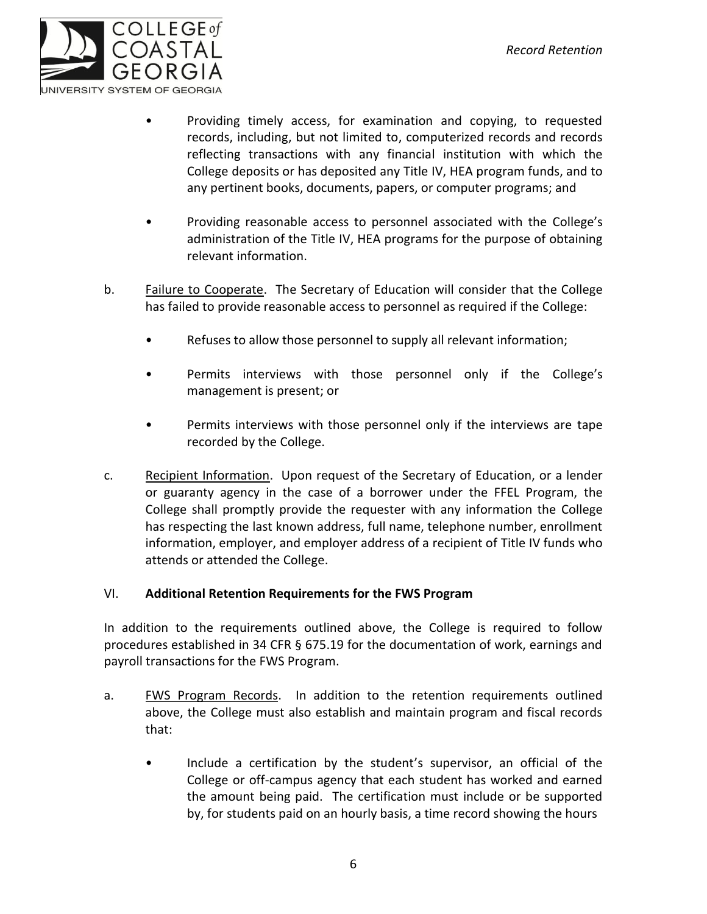

- Providing timely access, for examination and copying, to requested records, including, but not limited to, computerized records and records reflecting transactions with any financial institution with which the College deposits or has deposited any Title IV, HEA program funds, and to any pertinent books, documents, papers, or computer programs; and
- Providing reasonable access to personnel associated with the College's administration of the Title IV, HEA programs for the purpose of obtaining relevant information.
- b. Failure to Cooperate. The Secretary of Education will consider that the College has failed to provide reasonable access to personnel as required if the College:
	- Refuses to allow those personnel to supply all relevant information;
	- Permits interviews with those personnel only if the College's management is present; or
	- Permits interviews with those personnel only if the interviews are tape recorded by the College.
- c. Recipient Information. Upon request of the Secretary of Education, or a lender or guaranty agency in the case of a borrower under the FFEL Program, the College shall promptly provide the requester with any information the College has respecting the last known address, full name, telephone number, enrollment information, employer, and employer address of a recipient of Title IV funds who attends or attended the College.

#### VI. **Additional Retention Requirements for the FWS Program**

In addition to the requirements outlined above, the College is required to follow procedures established in 34 CFR § 675.19 for the documentation of work, earnings and payroll transactions for the FWS Program.

- a. FWS Program Records. In addition to the retention requirements outlined above, the College must also establish and maintain program and fiscal records that:
	- Include a certification by the student's supervisor, an official of the College or off-campus agency that each student has worked and earned the amount being paid. The certification must include or be supported by, for students paid on an hourly basis, a time record showing the hours